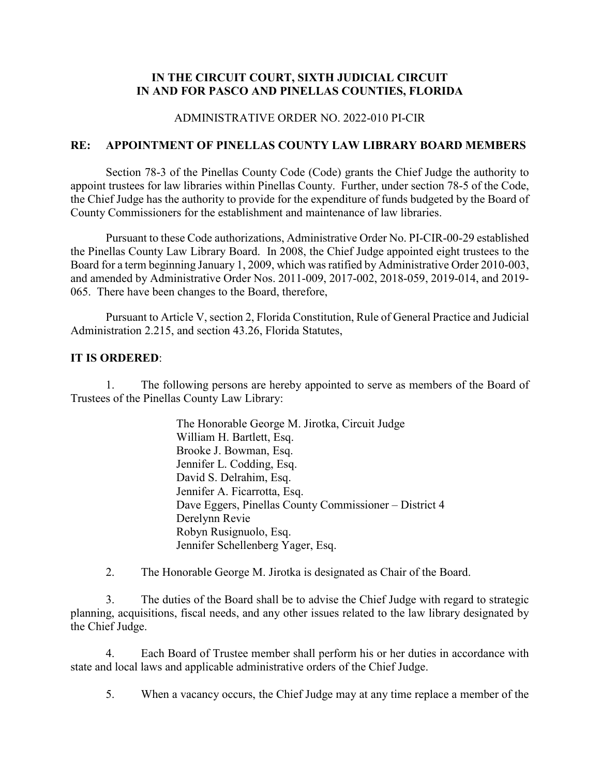## **IN THE CIRCUIT COURT, SIXTH JUDICIAL CIRCUIT IN AND FOR PASCO AND PINELLAS COUNTIES, FLORIDA**

### ADMINISTRATIVE ORDER NO. 2022-010 PI-CIR

## **RE: APPOINTMENT OF PINELLAS COUNTY LAW LIBRARY BOARD MEMBERS**

Section 78-3 of the Pinellas County Code (Code) grants the Chief Judge the authority to appoint trustees for law libraries within Pinellas County. Further, under section 78-5 of the Code, the Chief Judge has the authority to provide for the expenditure of funds budgeted by the Board of County Commissioners for the establishment and maintenance of law libraries.

Pursuant to these Code authorizations, Administrative Order No. PI-CIR-00-29 established the Pinellas County Law Library Board. In 2008, the Chief Judge appointed eight trustees to the Board for a term beginning January 1, 2009, which was ratified by Administrative Order 2010-003, and amended by Administrative Order Nos. 2011-009, 2017-002, 2018-059, 2019-014, and 2019- 065. There have been changes to the Board, therefore,

Pursuant to Article V, section 2, Florida Constitution, Rule of General Practice and Judicial Administration 2.215, and section 43.26, Florida Statutes,

#### **IT IS ORDERED**:

1. The following persons are hereby appointed to serve as members of the Board of Trustees of the Pinellas County Law Library:

> The Honorable George M. Jirotka, Circuit Judge William H. Bartlett, Esq. Brooke J. Bowman, Esq. Jennifer L. Codding, Esq. David S. Delrahim, Esq. Jennifer A. Ficarrotta, Esq. Dave Eggers, Pinellas County Commissioner – District 4 Derelynn Revie Robyn Rusignuolo, Esq. Jennifer Schellenberg Yager, Esq.

2. The Honorable George M. Jirotka is designated as Chair of the Board.

3. The duties of the Board shall be to advise the Chief Judge with regard to strategic planning, acquisitions, fiscal needs, and any other issues related to the law library designated by the Chief Judge.

4. Each Board of Trustee member shall perform his or her duties in accordance with state and local laws and applicable administrative orders of the Chief Judge.

5. When a vacancy occurs, the Chief Judge may at any time replace a member of the